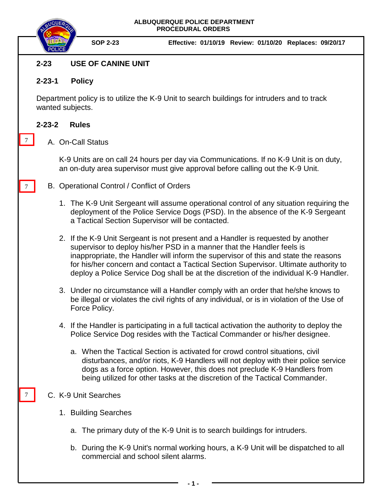

**SOP 2-23 Effective: 01/10/19 Review: 01/10/20 Replaces: 09/20/17**

# **2-23 USE OF CANINE UNIT**

### **2-23-1 Policy**

Department policy is to utilize the K-9 Unit to search buildings for intruders and to track wanted subjects.

### **2-23-2 Rules**

7

7

7

A. On-Call Status

K-9 Units are on call 24 hours per day via Communications. If no K-9 Unit is on duty, an on-duty area supervisor must give approval before calling out the K-9 Unit.

- B. Operational Control / Conflict of Orders
	- 1. The K-9 Unit Sergeant will assume operational control of any situation requiring the deployment of the Police Service Dogs (PSD). In the absence of the K-9 Sergeant a Tactical Section Supervisor will be contacted.
	- 2. If the K-9 Unit Sergeant is not present and a Handler is requested by another supervisor to deploy his/her PSD in a manner that the Handler feels is inappropriate, the Handler will inform the supervisor of this and state the reasons for his/her concern and contact a Tactical Section Supervisor. Ultimate authority to deploy a Police Service Dog shall be at the discretion of the individual K-9 Handler.
	- 3. Under no circumstance will a Handler comply with an order that he/she knows to be illegal or violates the civil rights of any individual, or is in violation of the Use of Force Policy.
	- 4. If the Handler is participating in a full tactical activation the authority to deploy the Police Service Dog resides with the Tactical Commander or his/her designee.
		- a. When the Tactical Section is activated for crowd control situations, civil disturbances, and/or riots, K-9 Handlers will not deploy with their police service dogs as a force option. However, this does not preclude K-9 Handlers from being utilized for other tasks at the discretion of the Tactical Commander.

## C. K-9 Unit Searches

- 1. Building Searches
	- a. The primary duty of the K-9 Unit is to search buildings for intruders.
	- b. During the K-9 Unit's normal working hours, a K-9 Unit will be dispatched to all commercial and school silent alarms.